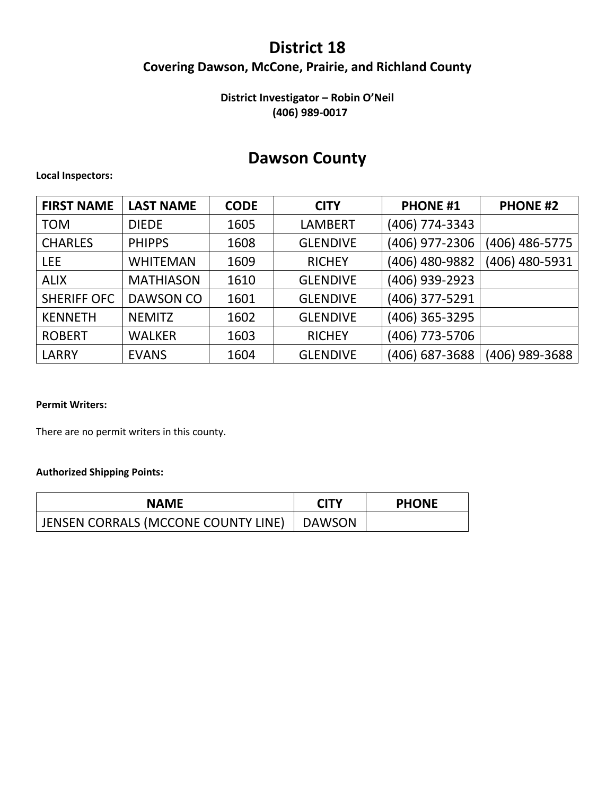## **District 18**

## **Covering Dawson, McCone, Prairie, and Richland County**

### **District Investigator – Robin O'Neil (406) 989-0017**

# **Dawson County**

#### **Local Inspectors:**

| <b>FIRST NAME</b>  | <b>LAST NAME</b> | <b>CODE</b> | <b>CITY</b>     | <b>PHONE #1</b> | <b>PHONE #2</b> |
|--------------------|------------------|-------------|-----------------|-----------------|-----------------|
| <b>TOM</b>         | <b>DIEDE</b>     | 1605        | <b>LAMBERT</b>  | (406) 774-3343  |                 |
| <b>CHARLES</b>     | <b>PHIPPS</b>    | 1608        | <b>GLENDIVE</b> | (406) 977-2306  | (406) 486-5775  |
| <b>LEE</b>         | <b>WHITEMAN</b>  | 1609        | <b>RICHEY</b>   | (406) 480-9882  | (406) 480-5931  |
| <b>ALIX</b>        | <b>MATHIASON</b> | 1610        | <b>GLENDIVE</b> | (406) 939-2923  |                 |
| <b>SHERIFF OFC</b> | DAWSON CO        | 1601        | <b>GLENDIVE</b> | (406) 377-5291  |                 |
| <b>KENNETH</b>     | <b>NEMITZ</b>    | 1602        | <b>GLENDIVE</b> | (406) 365-3295  |                 |
| <b>ROBERT</b>      | <b>WALKER</b>    | 1603        | <b>RICHEY</b>   | (406) 773-5706  |                 |
| <b>LARRY</b>       | <b>EVANS</b>     | 1604        | <b>GLENDIVE</b> | (406) 687-3688  | (406) 989-3688  |

#### **Permit Writers:**

There are no permit writers in this county.

| <b>NAME</b>                                  | <b>CITY</b> | <b>PHONE</b> |
|----------------------------------------------|-------------|--------------|
| JENSEN CORRALS (MCCONE COUNTY LINE)   DAWSON |             |              |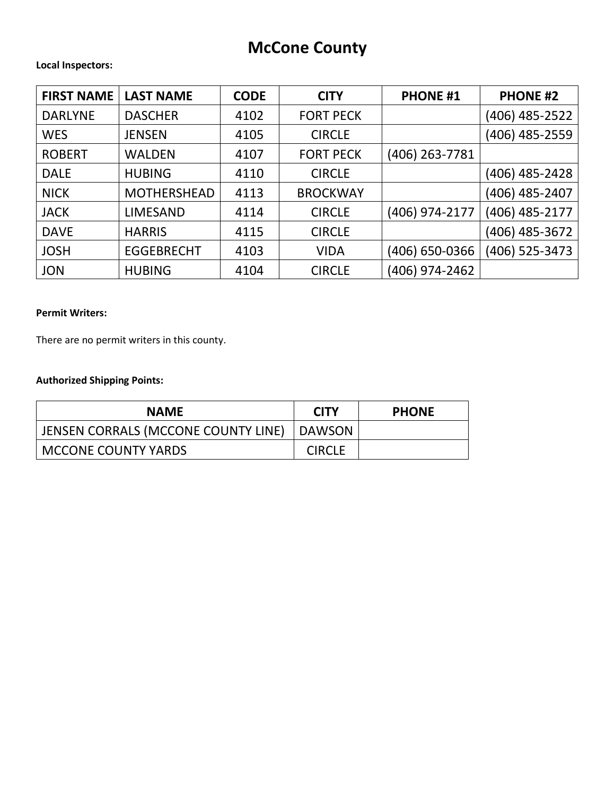# **McCone County**

#### **Local Inspectors:**

| <b>FIRST NAME</b> | <b>LAST NAME</b>   | <b>CODE</b> | <b>CITY</b>      | <b>PHONE #1</b> | <b>PHONE #2</b> |
|-------------------|--------------------|-------------|------------------|-----------------|-----------------|
| <b>DARLYNE</b>    | <b>DASCHER</b>     | 4102        | <b>FORT PECK</b> |                 | (406) 485-2522  |
| <b>WES</b>        | <b>JENSEN</b>      | 4105        | <b>CIRCLE</b>    |                 | (406) 485-2559  |
| <b>ROBERT</b>     | <b>WALDEN</b>      | 4107        | <b>FORT PECK</b> | (406) 263-7781  |                 |
| <b>DALE</b>       | <b>HUBING</b>      | 4110        | <b>CIRCLE</b>    |                 | (406) 485-2428  |
| <b>NICK</b>       | <b>MOTHERSHEAD</b> | 4113        | <b>BROCKWAY</b>  |                 | (406) 485-2407  |
| <b>JACK</b>       | LIMESAND           | 4114        | <b>CIRCLE</b>    | (406) 974-2177  | (406) 485-2177  |
| <b>DAVE</b>       | <b>HARRIS</b>      | 4115        | <b>CIRCLE</b>    |                 | (406) 485-3672  |
| <b>JOSH</b>       | <b>EGGEBRECHT</b>  | 4103        | <b>VIDA</b>      | (406) 650-0366  | (406) 525-3473  |
| <b>JON</b>        | <b>HUBING</b>      | 4104        | <b>CIRCLE</b>    | (406) 974-2462  |                 |

#### **Permit Writers:**

There are no permit writers in this county.

| <b>NAME</b>                                  | <b>CITY</b>   | <b>PHONE</b> |
|----------------------------------------------|---------------|--------------|
| JENSEN CORRALS (MCCONE COUNTY LINE)   DAWSON |               |              |
| <b>MCCONE COUNTY YARDS</b>                   | <b>CIRCLE</b> |              |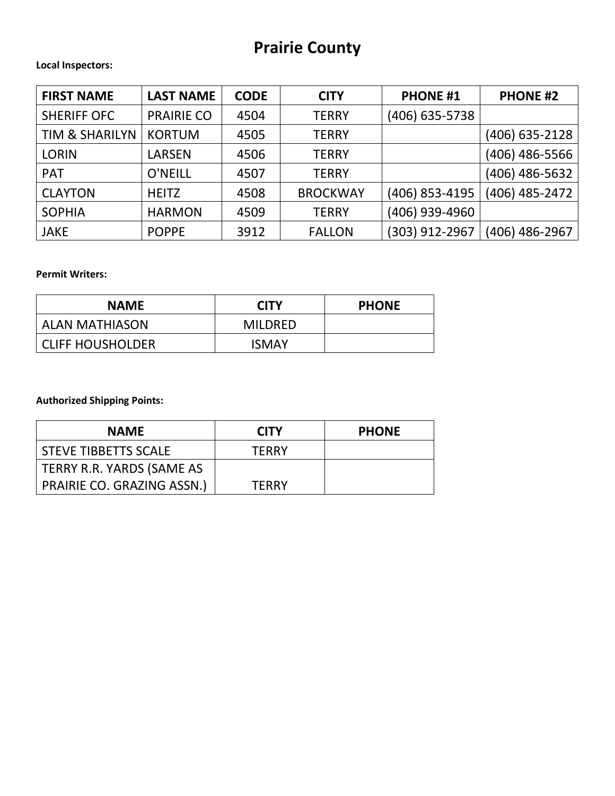# **Prairie County**

#### **Local Inspectors:**

| <b>FIRST NAME</b>         | <b>LAST NAME</b>  | <b>CODE</b> | <b>CITY</b>     | <b>PHONE #1</b> | <b>PHONE #2</b>  |
|---------------------------|-------------------|-------------|-----------------|-----------------|------------------|
| <b>SHERIFF OFC</b>        | <b>PRAIRIE CO</b> | 4504        | <b>TERRY</b>    | (406) 635-5738  |                  |
| <b>TIM &amp; SHARILYN</b> | <b>KORTUM</b>     | 4505        | <b>TERRY</b>    |                 | $(406)$ 635-2128 |
| <b>LORIN</b>              | LARSEN            | 4506        | <b>TERRY</b>    |                 | (406) 486-5566   |
| <b>PAT</b>                | <b>O'NEILL</b>    | 4507        | <b>TERRY</b>    |                 | (406) 486-5632   |
| <b>CLAYTON</b>            | <b>HEITZ</b>      | 4508        | <b>BROCKWAY</b> | (406) 853-4195  | (406) 485-2472   |
| <b>SOPHIA</b>             | <b>HARMON</b>     | 4509        | <b>TERRY</b>    | (406) 939-4960  |                  |
| <b>JAKE</b>               | <b>POPPE</b>      | 3912        | <b>FALLON</b>   | (303) 912-2967  | (406) 486-2967   |

#### **Permit Writers:**

| <b>NAME</b>           | <b>CITY</b> | <b>PHONE</b> |
|-----------------------|-------------|--------------|
| <b>ALAN MATHIASON</b> | MILDRED     |              |
| CLIFF HOUSHOLDER      | ISMAY       |              |

| <b>NAME</b>                | <b>CITY</b>  | <b>PHONE</b> |
|----------------------------|--------------|--------------|
| I STEVE TIBBETTS SCALE     | <b>TFRRY</b> |              |
| TERRY R.R. YARDS (SAME AS  |              |              |
| PRAIRIE CO. GRAZING ASSN.) | <b>TFRRY</b> |              |